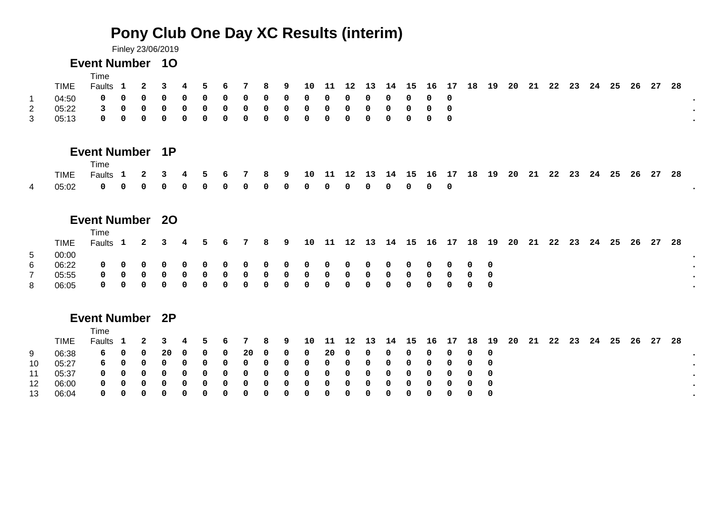# **Pony Club One Day XC Results (interim)**

Finley 23/06/2019

# **Event Number 1O**

|    |       | Time<br>Faults 1 2 3 4 5 6 7 8 9 10 11 12 13 14 15 16 17 18 19 20 21 22 23 24 25 26 27 28 |  |  |  |  |  |  |  |  |  |  |  |  |  |  |
|----|-------|-------------------------------------------------------------------------------------------|--|--|--|--|--|--|--|--|--|--|--|--|--|--|
|    | 04.50 | 00000000000000000000                                                                      |  |  |  |  |  |  |  |  |  |  |  |  |  |  |
| 2  | በ5.22 | 3000000000000000000                                                                       |  |  |  |  |  |  |  |  |  |  |  |  |  |  |
| -3 | 05.13 | 00000000000000000000                                                                      |  |  |  |  |  |  |  |  |  |  |  |  |  |  |

# **Event Number 1P**

|  | Time                                                                                                         |  |  |  |  |  |  |  |  |  |  |  |  |  |  |  |
|--|--------------------------------------------------------------------------------------------------------------|--|--|--|--|--|--|--|--|--|--|--|--|--|--|--|
|  | Faults 1  2  3  4  5  6  7  8  9  10  11  12  13  14  15  16  17  18  19  20  21  22  23  24  25  26  27  28 |  |  |  |  |  |  |  |  |  |  |  |  |  |  |  |
|  |                                                                                                              |  |  |  |  |  |  |  |  |  |  |  |  |  |  |  |

# **Event Number 2O**

|       |         | Time                                                                              |  |  |  |  |  |  |  |  |  |  |  |  |  |  |  |
|-------|---------|-----------------------------------------------------------------------------------|--|--|--|--|--|--|--|--|--|--|--|--|--|--|--|
|       | TIME    | Faults 1 2 3 4 5 6 7 8 9 10 11 12 13 14 15 16 17 18 19 20 21 22 23 24 25 26 27 28 |  |  |  |  |  |  |  |  |  |  |  |  |  |  |  |
| $5 -$ | 00:00   |                                                                                   |  |  |  |  |  |  |  |  |  |  |  |  |  |  |  |
| 6     | 06.22 I |                                                                                   |  |  |  |  |  |  |  |  |  |  |  |  |  |  |  |
|       | 05:55   |                                                                                   |  |  |  |  |  |  |  |  |  |  |  |  |  |  |  |
| 8     | 06.05   |                                                                                   |  |  |  |  |  |  |  |  |  |  |  |  |  |  |  |

# **Event Number 2P**

|                 |       | Time                                                                              |  |  |  |                        |  |  |  |  |  |  |  |  |  |  |  |
|-----------------|-------|-----------------------------------------------------------------------------------|--|--|--|------------------------|--|--|--|--|--|--|--|--|--|--|--|
|                 | TIME  | Faults 1 2 3 4 5 6 7 8 9 10 11 12 13 14 15 16 17 18 19 20 21 22 23 24 25 26 27 28 |  |  |  |                        |  |  |  |  |  |  |  |  |  |  |  |
| 9               | 06:38 |                                                                                   |  |  |  |                        |  |  |  |  |  |  |  |  |  |  |  |
| 10 <sup>1</sup> | 05:27 |                                                                                   |  |  |  | 6000000000000000000000 |  |  |  |  |  |  |  |  |  |  |  |
| 11              | 05:37 |                                                                                   |  |  |  |                        |  |  |  |  |  |  |  |  |  |  |  |
| 12              | 06:00 |                                                                                   |  |  |  |                        |  |  |  |  |  |  |  |  |  |  |  |
| 13              | 06:04 |                                                                                   |  |  |  | 0000000000000000000000 |  |  |  |  |  |  |  |  |  |  |  |
|                 |       |                                                                                   |  |  |  |                        |  |  |  |  |  |  |  |  |  |  |  |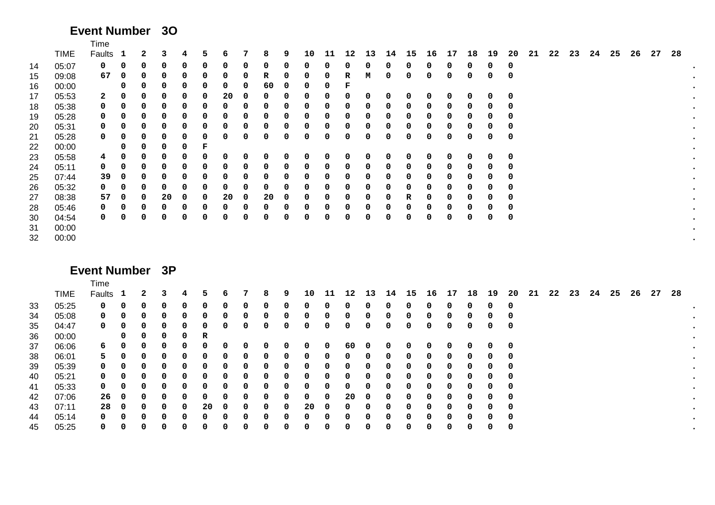# **Event Number 3O**

|    |             | Time         |              |   |    |   |   |    |   |    |   |    |    |    |    |    |    |    |    |    |    |    |    |    |    |    |    |    |    |    |
|----|-------------|--------------|--------------|---|----|---|---|----|---|----|---|----|----|----|----|----|----|----|----|----|----|----|----|----|----|----|----|----|----|----|
|    | <b>TIME</b> | Faults       | $\mathbf{1}$ | 2 | 3  | 4 | 5 | 6  |   | 8  | 9 | 10 | 11 | 12 | 13 | 14 | 15 | 16 | 17 | 18 | 19 | 20 | 21 | 22 | 23 | 24 | 25 | 26 | 27 | 28 |
| 14 | 05:07       | 0            | 0            | 0 | 0  | 0 |   | 0  | 0 | 0  | 0 | 0  | 0  | 0  | 0  |    | 0  | 0  | 0  | 0  | 0  | 0  |    |    |    |    |    |    |    |    |
| 15 | 09:08       | 67           | 0            |   | 0  | 0 |   | 0  | 0 | R  | 0 | 0  | 0  | R  | М  |    | 0  | 0  | 0  | 0  | 0  | 0  |    |    |    |    |    |    |    |    |
| 16 | 00:00       |              | 0            |   | 0  | 0 | 0 | 0  | 0 | 60 | 0 | 0  | 0  | F  |    |    |    |    |    |    |    |    |    |    |    |    |    |    |    |    |
| 17 | 05:53       | $\mathbf{2}$ | 0            |   | 0  | 0 | 0 | 20 |   | 0  | 0 | 0  | 0  | 0  | 0  |    | 0  | 0  | 0  | 0  | 0  | 0  |    |    |    |    |    |    |    |    |
| 18 | 05:38       | 0            | 0            | 0 | 0  | 0 | 0 | 0  | 0 | 0  | 0 | 0  | 0  | 0  | 0  | 0  | 0  | 0  | 0  | 0  | 0  | 0  |    |    |    |    |    |    |    |    |
| 19 | 05:28       | 0            | 0            | 0 | 0  | 0 | 0 | 0  |   | 0  | 0 | 0  | 0  | 0  | 0  |    | 0  | 0  | 0  | 0  | 0  | 0  |    |    |    |    |    |    |    |    |
| 20 | 05:31       | 0            | 0            | 0 | 0  | 0 |   | 0  | 0 | 0  | 0 | 0  | 0  | 0  | 0  |    | 0  | 0  | Ω  | 0  | 0  | 0  |    |    |    |    |    |    |    |    |
| 21 | 05:28       | 0            | 0            |   | 0  | 0 | 0 | 0  | 0 | 0  | 0 | 0  | 0  | 0  | 0  |    | 0  | 0  | 0  | 0  | 0  | 0  |    |    |    |    |    |    |    |    |
| 22 | 00:00       |              | 0            |   | 0  | 0 | F |    |   |    |   |    |    |    |    |    |    |    |    |    |    |    |    |    |    |    |    |    |    |    |
| 23 | 05:58       | 4            | 0            | 0 | 0  | 0 | 0 | 0  | 0 | 0  | 0 | 0  | 0  | 0  | 0  |    | 0  | 0  | 0  | 0  | 0  | 0  |    |    |    |    |    |    |    |    |
| 24 | 05:11       | 0            | 0            | 0 | 0  | 0 |   | 0  | 0 | 0  | 0 | 0  | 0  | 0  | 0  |    | 0  | 0  | 0  | 0  | 0  | 0  |    |    |    |    |    |    |    |    |
| 25 | 07:44       | 39           | 0            |   | 0  | 0 |   | 0  | 0 | 0  | 0 | 0  | 0  | 0  | 0  |    | 0  | 0  | 0  | 0  | 0  | 0  |    |    |    |    |    |    |    |    |
| 26 | 05:32       | 0            | 0            |   | 0  | 0 | 0 | 0  |   | 0  | 0 | 0  | 0  | 0  | 0  |    | 0  | 0  | 0  | 0  | 0  | 0  |    |    |    |    |    |    |    |    |
| 27 | 08:38       | 57           | 0            | 0 | 20 | 0 | 0 | 20 | 0 | 20 | 0 | 0  | 0  | 0  | 0  |    | R  | 0  | Ω  | 0  | 0  | 0  |    |    |    |    |    |    |    |    |
| 28 | 05:46       | 0            | 0            | 0 | 0  | 0 | 0 | 0  | 0 | 0  | 0 | 0  | 0  | 0  | 0  |    | 0  | 0  | 0  | 0  | 0  | 0  |    |    |    |    |    |    |    |    |
| 30 | 04:54       | 0            | 0            | 0 | 0  | 0 | 0 | 0  | 0 | 0  | 0 | 0  | 0  | 0  | 0  |    | 0  | 0  | 0  | 0  | 0  | 0  |    |    |    |    |    |    |    |    |
| 31 | 00:00       |              |              |   |    |   |   |    |   |    |   |    |    |    |    |    |    |    |    |    |    |    |    |    |    |    |    |    |    |    |
| 32 | 00:00       |              |              |   |    |   |   |    |   |    |   |    |    |    |    |    |    |    |    |    |    |    |    |    |    |    |    |    |    |    |
|    |             |              |              |   |    |   |   |    |   |    |   |    |    |    |    |    |    |    |    |    |    |    |    |    |    |    |    |    |    |    |

#### **Event Number 3P**

|                                        |     |    |    |              |    |       |              |          |          |   |    |    |   |              |   |    |   |          |   |     | Time        |       |    |
|----------------------------------------|-----|----|----|--------------|----|-------|--------------|----------|----------|---|----|----|---|--------------|---|----|---|----------|---|-----|-------------|-------|----|
| 22<br>23<br>25<br>21<br>24<br>26 27 28 | -20 | 19 | 18 | 17           | 16 | 14 15 |              |          | 11 12 13 |   | 10 | 9. | 8 |              | 6 | 5. | 4 | 3        | 2 |     | Faults 1    | TIME  |    |
|                                        | 0   | 0  | 0  |              | 0  | 0     | 0            | 0        | 0        | 0 | 0  | 0  | 0 |              | 0 | 0  | 0 | 0        | 0 | 0   | $\mathbf 0$ | 05:25 | 33 |
|                                        | 0   | 0  | 0  |              | 0  | 0     |              | 0        | 0        |   | 0  | 0  | 0 |              | 0 | 0  | 0 | 0        | 0 | 0   | 0           | 05:08 | 34 |
|                                        | 0   | 0  | 0  | 0            | 0  | 0     | 0            | 0        | 0        | 0 | 0  | 0  | 0 | 0            | 0 | 0  | 0 | 0        | 0 | 0   | 0           | 04:47 | 35 |
|                                        |     |    |    |              |    |       |              |          |          |   |    |    |   |              |   | R  | 0 | 0        | 0 | 0   |             | 00:00 | 36 |
|                                        | 0   | 0  | 0  | 0            | 0  | 0     | 0            | 0        | 60       | 0 | 0  | 0  | 0 | 0            | 0 | 0  | 0 | 0        | 0 | 0   | 6           | 06:06 | 37 |
|                                        | 0   | 0  | 0  | <sup>0</sup> | 0  | 0     | <sup>0</sup> | 0        | 0        |   | 0  | 0  | 0 |              | 0 | 0  | 0 | 0        | 0 |     | 5.          | 06:01 | 38 |
|                                        | 0   | 0  | 0  |              | 0  | 0     |              | 0        | 0        | 0 | 0  | 0  | 0 |              | 0 | 0  | 0 | 0        | 0 | 0   | 0           | 05:39 | 39 |
|                                        | 0   | 0  | 0  | <sup>0</sup> | 0  | 0     | 0            | 0        | 0        | 0 | 0  | 0  | 0 | <sup>0</sup> | 0 | 0  | 0 | $\Omega$ | 0 | 0   | 0           | 05:21 | 40 |
|                                        | 0   | 0  | 0  |              | 0  | 0     |              | 0        | 0        | 0 | 0  | 0  | 0 |              | 0 | 0  | 0 | 0        | 0 | 0   | 0           | 05:33 | 41 |
|                                        | 0   | 0  | 0  | <sup>0</sup> | 0  | 0     | <sup>0</sup> | 0        | 20       | 0 | 0  | 0  | 0 | <sup>0</sup> | 0 | 0  | 0 | $\Omega$ | 0 | - 0 | 26          | 07:06 | 42 |
|                                        | 0   | 0  | 0  | 0            | 0  | 0     |              | $\Omega$ | 0        |   | 20 | 0  | 0 | 0            | 0 | 20 | 0 | 0        | 0 | 0   | 28          | 07:11 | 43 |
|                                        | 0   | 0  | 0  | 0            | 0  | 0     | 0            | 0        | 0        | 0 | 0  | 0  | 0 |              | 0 | 0  | 0 | 0        | 0 | 0   | 0           | 05:14 | 44 |
|                                        | 0   | 0  | 0  |              | 0  | 0     |              | 0        | 0        |   | 0  | 0  | 0 |              | 0 | 0. | 0 | 0        | 0 |     | 0           | 05:25 | 45 |
|                                        |     |    |    |              |    |       |              |          |          |   |    |    |   |              |   |    |   |          |   |     |             |       |    |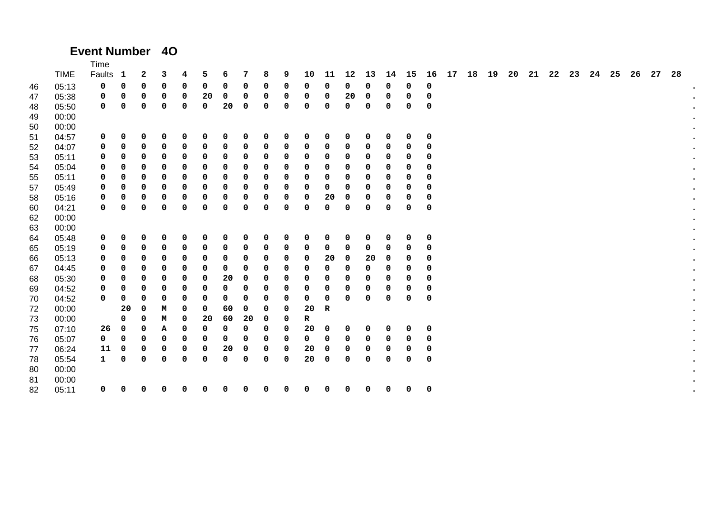#### **Event Number 4O**

|    |             | Time         |    |   |   |   |    |    |    |   |   |             |    |    |    |    |    |             |    |    |    |    |    |    |    |    |    |    |    |    |
|----|-------------|--------------|----|---|---|---|----|----|----|---|---|-------------|----|----|----|----|----|-------------|----|----|----|----|----|----|----|----|----|----|----|----|
|    | <b>TIME</b> | Faults       | -1 | 2 | 3 | 4 | 5  | 6  | 7  | 8 | 9 | 10          | 11 | 12 | 13 | 14 | 15 | 16          | 17 | 18 | 19 | 20 | 21 | 22 | 23 | 24 | 25 | 26 | 27 | 28 |
| 46 | 05:13       | 0            | 0  | 0 | 0 | 0 | 0  | 0  | 0  | 0 | 0 | 0           | 0  | 0  | 0  | 0  | 0  | 0           |    |    |    |    |    |    |    |    |    |    |    |    |
| 47 | 05:38       | 0            | 0  | 0 | 0 | 0 | 20 | 0  | 0  | 0 | 0 | 0           | 0  | 20 | 0  | 0  | 0  | 0           |    |    |    |    |    |    |    |    |    |    |    |    |
| 48 | 05:50       | 0            | 0  | 0 | 0 | 0 | 0  | 20 | 0  | 0 | 0 | $\mathbf 0$ | 0  | 0  | 0  | 0  | 0  | $\mathbf 0$ |    |    |    |    |    |    |    |    |    |    |    |    |
| 49 | 00:00       |              |    |   |   |   |    |    |    |   |   |             |    |    |    |    |    |             |    |    |    |    |    |    |    |    |    |    |    |    |
| 50 | 00:00       |              |    |   |   |   |    |    |    |   |   |             |    |    |    |    |    |             |    |    |    |    |    |    |    |    |    |    |    |    |
| 51 | 04:57       | 0            | 0  | 0 | 0 | 0 | 0  | 0  | 0  | 0 | 0 | 0           | 0  | 0  | 0  | 0  | 0  | 0           |    |    |    |    |    |    |    |    |    |    |    |    |
| 52 | 04:07       | 0            | 0  | 0 | 0 | 0 | 0  | 0  | 0  | 0 | 0 | 0           | 0  | 0  | 0  | 0  | 0  | 0           |    |    |    |    |    |    |    |    |    |    |    |    |
| 53 | 05:11       | 0            | 0  | 0 | 0 | 0 | 0  | 0  | 0  | 0 | 0 | 0           | 0  | 0  | 0  | 0  | 0  | 0           |    |    |    |    |    |    |    |    |    |    |    |    |
| 54 | 05:04       | 0            | 0  | 0 | 0 | 0 | 0  | 0  | 0  | 0 | 0 | 0           | 0  | 0  | 0  | 0  | 0  | 0           |    |    |    |    |    |    |    |    |    |    |    |    |
| 55 | 05:11       | 0            | 0  | 0 | 0 | 0 | 0  | 0  | 0  | 0 | 0 | 0           | 0  | 0  | 0  | 0  | 0  | 0           |    |    |    |    |    |    |    |    |    |    |    |    |
| 57 | 05:49       | 0            | 0  | 0 | 0 | 0 | 0  | 0  | 0  | 0 | 0 | 0           | 0  | 0  | 0  | 0  | 0  | 0           |    |    |    |    |    |    |    |    |    |    |    |    |
| 58 | 05:16       | 0            | 0  | 0 | 0 | 0 | 0  | 0  | 0  | 0 | 0 | 0           | 20 | 0  | 0  | 0  | 0  | 0           |    |    |    |    |    |    |    |    |    |    |    |    |
| 60 | 04:21       | 0            | 0  | 0 | 0 | 0 | 0  | 0  | 0  | 0 | 0 | 0           | 0  | 0  | 0  | 0  | 0  | 0           |    |    |    |    |    |    |    |    |    |    |    |    |
| 62 | 00:00       |              |    |   |   |   |    |    |    |   |   |             |    |    |    |    |    |             |    |    |    |    |    |    |    |    |    |    |    |    |
| 63 | 00:00       |              |    |   |   |   |    |    |    |   |   |             |    |    |    |    |    |             |    |    |    |    |    |    |    |    |    |    |    |    |
| 64 | 05:48       | 0            | 0  | 0 | 0 | 0 | 0  | 0  | 0  | 0 | 0 | 0           | 0  | 0  | 0  | 0  | 0  | 0           |    |    |    |    |    |    |    |    |    |    |    |    |
| 65 | 05:19       | 0            | 0  | 0 | 0 | 0 | 0  | 0  | 0  | 0 | 0 | 0           | 0  | 0  | 0  | 0  | 0  | 0           |    |    |    |    |    |    |    |    |    |    |    |    |
| 66 | 05:13       | 0            | 0  | 0 | 0 | 0 | 0  | 0  | 0  | 0 | 0 | 0           | 20 | 0  | 20 | 0  | 0  | 0           |    |    |    |    |    |    |    |    |    |    |    |    |
| 67 | 04:45       | 0            | 0  | 0 | 0 | 0 | 0  | 0  | 0  | 0 | 0 | 0           | 0  | 0  | 0  | 0  | 0  | 0           |    |    |    |    |    |    |    |    |    |    |    |    |
| 68 | 05:30       | 0            | 0  | 0 | 0 | 0 | 0  | 20 | 0  | 0 | 0 | 0           | 0  | 0  | 0  | 0  | 0  | 0           |    |    |    |    |    |    |    |    |    |    |    |    |
| 69 | 04:52       | 0            | 0  | 0 | 0 | 0 | 0  | 0  | 0  | 0 | 0 | 0           | 0  | 0  | 0  | 0  | 0  | 0           |    |    |    |    |    |    |    |    |    |    |    |    |
| 70 | 04:52       | 0            | 0  | 0 | 0 | 0 | 0  | 0  | 0  | 0 | 0 | 0           | 0  | 0  | 0  | 0  | 0  | 0           |    |    |    |    |    |    |    |    |    |    |    |    |
| 72 | 00:00       |              | 20 | 0 | м | 0 | 0  | 60 | 0  | 0 | 0 | 20          | R  |    |    |    |    |             |    |    |    |    |    |    |    |    |    |    |    |    |
| 73 | 00:00       |              | 0  | 0 | м | 0 | 20 | 60 | 20 | 0 | 0 | R           |    |    |    |    |    |             |    |    |    |    |    |    |    |    |    |    |    |    |
| 75 | 07:10       | 26           | 0  | 0 | А | 0 | 0  | 0  | 0  | 0 | 0 | 20          | 0  | 0  | 0  | 0  | 0  | $\mathbf 0$ |    |    |    |    |    |    |    |    |    |    |    |    |
| 76 | 05:07       | 0            | 0  | 0 | 0 | 0 | 0  | 0  | 0  | 0 | 0 | 0           | 0  | 0  | 0  | 0  | 0  | 0           |    |    |    |    |    |    |    |    |    |    |    |    |
| 77 | 06:24       | 11           | 0  | 0 | 0 | 0 | 0  | 20 | 0  | 0 | 0 | 20          | 0  | 0  | 0  | 0  | 0  | 0           |    |    |    |    |    |    |    |    |    |    |    |    |
| 78 | 05:54       | $\mathbf{1}$ | 0  | 0 | 0 | 0 | 0  | 0  | 0  | 0 | 0 | 20          | 0  | 0  | 0  | 0  | 0  | 0           |    |    |    |    |    |    |    |    |    |    |    |    |
| 80 | 00:00       |              |    |   |   |   |    |    |    |   |   |             |    |    |    |    |    |             |    |    |    |    |    |    |    |    |    |    |    |    |
| 81 | 00:00       |              |    |   |   |   |    |    |    |   |   |             |    |    |    |    |    |             |    |    |    |    |    |    |    |    |    |    |    |    |
| 82 | 05:11       | 0            | 0  | 0 | 0 | 0 | 0  | 0  | 0  | 0 | 0 | 0           | 0  | 0  | 0  | 0  | 0  | 0           |    |    |    |    |    |    |    |    |    |    |    |    |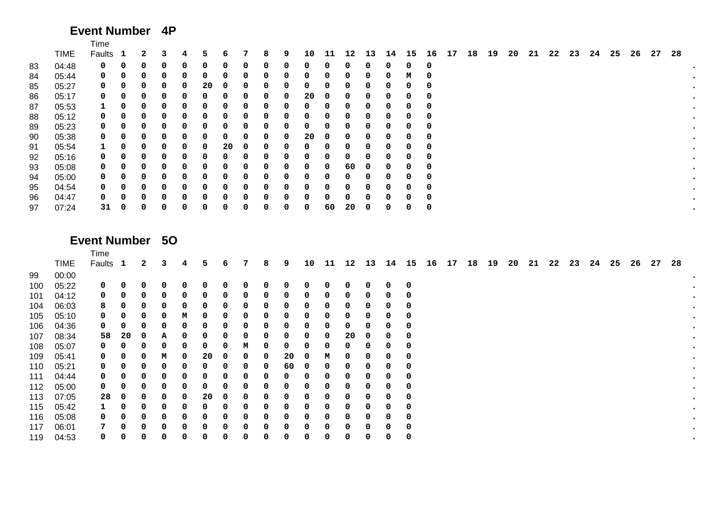# **Event Number 4P**

|    |             | Time         |             |   |   |   |    |    |              |   |   |    |    |              |    |    |    |    |    |    |    |    |    |    |    |    |    |    |    |    |
|----|-------------|--------------|-------------|---|---|---|----|----|--------------|---|---|----|----|--------------|----|----|----|----|----|----|----|----|----|----|----|----|----|----|----|----|
|    | <b>TIME</b> | Faults 1     |             | 2 | 3 | 4 | 5. | 6  |              | 8 | 9 | 10 | 11 | $12^{\circ}$ | 13 | 14 | 15 | 16 | 17 | 18 | 19 | 20 | 21 | 22 | 23 | 24 | 25 | 26 | 27 | 28 |
| 83 | 04:48       | 0            | 0           | 0 | 0 | 0 | 0  | 0  | 0            | 0 | 0 | 0  | 0  | 0            | 0  | 0  | 0  | 0  |    |    |    |    |    |    |    |    |    |    |    |    |
| 84 | 05:44       | 0            | 0           | 0 | 0 | 0 | 0. | 0  |              | 0 | 0 | 0  |    | 0            | 0  |    | м  | 0  |    |    |    |    |    |    |    |    |    |    |    |    |
| 85 | 05:27       | 0            | 0           | 0 | 0 | 0 | 20 | 0  |              | 0 | 0 | 0  |    | 0            | 0  |    | 0  | O  |    |    |    |    |    |    |    |    |    |    |    |    |
| 86 | 05:17       | 0            | 0           | 0 | 0 | 0 | 0  | 0  |              | 0 | 0 | 20 | 0  | 0            | 0  |    | 0  | 0  |    |    |    |    |    |    |    |    |    |    |    |    |
| 87 | 05:53       | 1            | 0           | 0 | 0 | 0 | 0  | 0  | <sup>0</sup> | 0 | 0 | 0  | 0  | 0            | 0  | 0  | 0  | 0  |    |    |    |    |    |    |    |    |    |    |    |    |
| 88 | 05:12       | 0            | 0           | 0 | 0 | 0 | 0  | 0  |              | 0 | 0 | 0  | 0  | 0            | 0  | O  | 0  | 0  |    |    |    |    |    |    |    |    |    |    |    |    |
| 89 | 05:23       | 0            | 0           | 0 | 0 | 0 | 0  | 0  |              | 0 | 0 | 0  | 0  | 0            | 0  |    | 0  | 0  |    |    |    |    |    |    |    |    |    |    |    |    |
| 90 | 05:38       | 0            | 0           | 0 | 0 | 0 | 0  | 0  |              | 0 | 0 | 20 | 0  | 0            | 0  |    | 0  | 0  |    |    |    |    |    |    |    |    |    |    |    |    |
| 91 | 05:54       | $\mathbf{1}$ | 0           | 0 | 0 | 0 | 0  | 20 |              | 0 | 0 | 0  | 0  | 0            | 0  |    | 0  | 0  |    |    |    |    |    |    |    |    |    |    |    |    |
| 92 | 05:16       | 0            | 0           | 0 | 0 | 0 | 0  | 0  |              | 0 | 0 | 0  | 0  | 0            | 0  |    | 0  | 0  |    |    |    |    |    |    |    |    |    |    |    |    |
| 93 | 05:08       | 0            | 0           | 0 | 0 | 0 | 0  | 0  |              | 0 | 0 | 0  | 0  | 60           | 0  | 0  | 0  | 0  |    |    |    |    |    |    |    |    |    |    |    |    |
| 94 | 05:00       | 0            | 0           | 0 | 0 | 0 | 0  | 0  |              | 0 | 0 | 0  | 0  | 0            | 0  | n  | 0  | 0  |    |    |    |    |    |    |    |    |    |    |    |    |
| 95 | 04:54       | 0            |             | 0 | 0 | 0 | 0  | 0  |              | 0 | 0 | 0  |    | 0            | 0  |    | 0  | 0  |    |    |    |    |    |    |    |    |    |    |    |    |
| 96 | 04:47       | 0            | 0           | 0 | 0 | 0 | 0. | 0  |              | 0 | 0 | 0  |    | 0            | 0  |    | 0  | 0  |    |    |    |    |    |    |    |    |    |    |    |    |
| 97 | 07:24       | 31           | $\mathbf 0$ | 0 | 0 | 0 | 0  | 0  |              | 0 | 0 | 0  | 60 | 20           | 0  | 0  | 0  | 0  |    |    |    |    |    |    |    |    |    |    |    |    |

#### **Event Number 5O**

|     |             | Time        |             |   |   |   |    |   |   |   |    |    |    |    |    |    |             |    |    |    |    |    |    |    |    |    |    |    |    |    |
|-----|-------------|-------------|-------------|---|---|---|----|---|---|---|----|----|----|----|----|----|-------------|----|----|----|----|----|----|----|----|----|----|----|----|----|
|     | <b>TIME</b> | Faults 1    |             | 2 | 3 | 4 | 5. | 6 | 7 | 8 | 9  | 10 | 11 | 12 | 13 | 14 | 15          | 16 | 17 | 18 | 19 | 20 | 21 | 22 | 23 | 24 | 25 | 26 | 27 | 28 |
| 99  | 00:00       |             |             |   |   |   |    |   |   |   |    |    |    |    |    |    |             |    |    |    |    |    |    |    |    |    |    |    |    |    |
| 100 | 05:22       | $\mathbf 0$ | 0           | 0 | 0 | 0 |    | 0 | 0 | 0 | 0  | 0  | 0  | 0  | 0  | 0  | 0           |    |    |    |    |    |    |    |    |    |    |    |    |    |
| 101 | 04:12       | $\mathbf 0$ | 0           | 0 | 0 | 0 |    | 0 | 0 | 0 | 0  | 0  | 0  |    | 0  | 0  | 0           |    |    |    |    |    |    |    |    |    |    |    |    |    |
| 104 | 06:03       | 8           | 0           | 0 | 0 | 0 |    | 0 | 0 | 0 | 0  | 0  | 0  |    | 0  | 0  | 0           |    |    |    |    |    |    |    |    |    |    |    |    |    |
| 105 | 05:10       | 0           | 0           | 0 | 0 | м | 0  | 0 | 0 | 0 | 0  | 0  | 0  |    | 0  | 0  | 0           |    |    |    |    |    |    |    |    |    |    |    |    |    |
| 106 | 04:36       | $\mathbf 0$ | 0           | 0 | 0 | 0 |    | 0 | 0 | 0 | 0  | 0  | 0  |    | 0  | 0  | 0           |    |    |    |    |    |    |    |    |    |    |    |    |    |
| 107 | 08:34       | 58          | 20          | 0 | А | 0 |    | 0 | 0 | 0 | 0  | 0  | 0  | 20 | 0  | 0  | 0           |    |    |    |    |    |    |    |    |    |    |    |    |    |
| 108 | 05:07       | 0           | 0           | 0 | 0 | 0 |    | 0 | м | 0 | 0  | 0  | 0  |    | 0  | 0  | 0           |    |    |    |    |    |    |    |    |    |    |    |    |    |
| 109 | 05:41       | 0           | 0           | 0 | М | 0 | 20 | 0 | 0 | 0 | 20 | 0  | М  |    | 0  | 0  | 0           |    |    |    |    |    |    |    |    |    |    |    |    |    |
| 110 | 05:21       | 0           | 0           | 0 | 0 | 0 | ი  | 0 | 0 | 0 | 60 | 0  | 0  |    | 0  | 0  | 0           |    |    |    |    |    |    |    |    |    |    |    |    |    |
| 111 | 04:44       | $\mathbf 0$ | 0           | 0 | 0 | 0 | 0  | 0 | 0 | 0 | 0  | 0  | 0  |    | 0  | 0  | 0           |    |    |    |    |    |    |    |    |    |    |    |    |    |
| 112 | 05:00       | $\mathbf 0$ | 0           | 0 | 0 | 0 |    | 0 | 0 | 0 | 0  | 0  | 0  |    | 0  | 0  | 0           |    |    |    |    |    |    |    |    |    |    |    |    |    |
| 113 | 07:05       | 28          | $\mathbf 0$ | 0 | 0 | 0 | 20 | 0 | 0 | 0 | 0  | 0  | 0  |    | 0  | 0  | 0           |    |    |    |    |    |    |    |    |    |    |    |    |    |
| 115 | 05:42       | 1           | 0           | 0 | 0 | 0 | 0  | 0 | 0 | 0 | 0  | 0  | 0  |    | 0  | 0  | $\mathbf 0$ |    |    |    |    |    |    |    |    |    |    |    |    |    |
| 116 | 05:08       | $\mathbf 0$ | 0           | 0 | 0 | 0 | 0  | 0 | 0 | 0 | 0  | 0  | 0  | 0  | 0  | 0  | 0           |    |    |    |    |    |    |    |    |    |    |    |    |    |
| 117 | 06:01       | 7           | 0           | 0 | 0 | 0 | ი  | 0 | 0 | 0 | 0  | 0  | 0  | 0  | 0  | 0  | 0           |    |    |    |    |    |    |    |    |    |    |    |    |    |
| 119 | 04:53       | 0           | 0           | 0 | 0 | 0 |    | 0 | 0 | 0 | 0  | 0  | 0  |    | 0  | 0  | 0           |    |    |    |    |    |    |    |    |    |    |    |    |    |